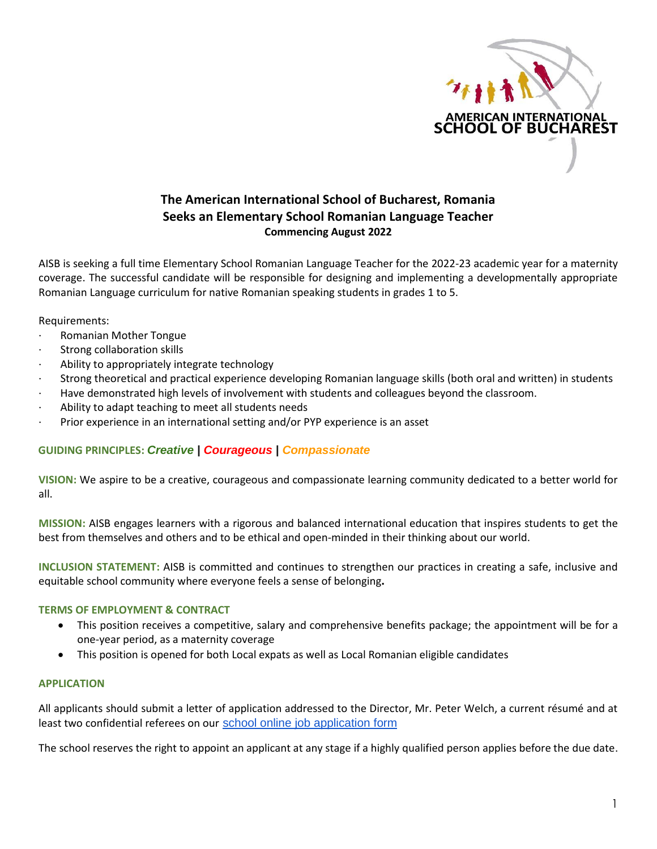

# **The American International School of Bucharest, Romania Seeks an Elementary School Romanian Language Teacher Commencing August 2022**

AISB is seeking a full time Elementary School Romanian Language Teacher for the 2022-23 academic year for a maternity coverage. The successful candidate will be responsible for designing and implementing a developmentally appropriate Romanian Language curriculum for native Romanian speaking students in grades 1 to 5.

Requirements:

- · Romanian Mother Tongue
- Strong collaboration skills
- Ability to appropriately integrate technology
- · Strong theoretical and practical experience developing Romanian language skills (both oral and written) in students
- · Have demonstrated high levels of involvement with students and colleagues beyond the classroom.
- Ability to adapt teaching to meet all students needs
- Prior experience in an international setting and/or PYP experience is an asset

## **GUIDING PRINCIPLES:** *Creative | Courageous | Compassionate*

**VISION:** We aspire to be a creative, courageous and compassionate learning community dedicated to a better world for all.

**MISSION:** AISB engages learners with a rigorous and balanced international education that inspires students to get the best from themselves and others and to be ethical and open-minded in their thinking about our world.

**INCLUSION STATEMENT:** AISB is committed and continues to strengthen our practices in creating a safe, inclusive and equitable school community where everyone feels a sense of belonging**.**

#### **TERMS OF EMPLOYMENT & CONTRACT**

- This position receives a competitive, salary and comprehensive benefits package; the appointment will be for a one-year period, as a maternity coverage
- This position is opened for both Local expats as well as Local Romanian eligible candidates

### **APPLICATION**

All applicants should submit a letter of application addressed to the Director, Mr. Peter Welch, a current résumé and at least two confidential referees on our [school online job application form](https://forms.veracross.com/Forms/aisbucharest/ApplicationforEmployment/Personal.aspx)

The school reserves the right to appoint an applicant at any stage if a highly qualified person applies before the due date.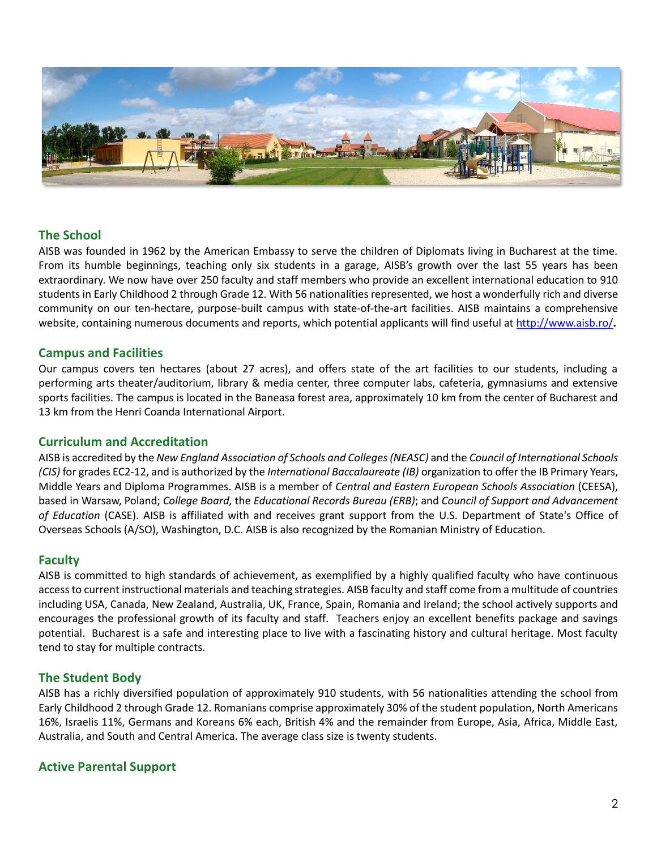

### **The School**

AISB was founded in 1962 by the American Embassy to serve the children of Diplomats living in Bucharest at the time. From its humble beginnings, teaching only six students in a garage, AISB's growth over the last 55 years has been extraordinary. We now have over 250 faculty and staff members who provide an excellent international education to 910 students in Early Childhood 2 through Grade 12. With 56 nationalities represented, we host a wonderfully rich and diverse community on our ten-hectare, purpose-built campus with state-of-the-art facilities. AISB maintains a comprehensive website, containing numerous documents and reports, which potential applicants will find useful at<http://www.aisb.ro/>**.**

#### **Campus and Facilities**

Our campus covers ten hectares (about 27 acres), and offers state of the art facilities to our students, including a performing arts theater/auditorium, library & media center, three computer labs, cafeteria, gymnasiums and extensive sports facilities. The campus is located in the Baneasa forest area, approximately 10 km from the center of Bucharest and 13 km from the Henri Coanda International Airport.

### **Curriculum and Accreditation**

AISB is accredited by the *New England Association of Schools and Colleges(NEASC)* and the *Council of International Schools (CIS)* for grades EC2-12, and is authorized by the *International Baccalaureate (IB)* organization to offer the IB Primary Years, Middle Years and Diploma Programmes. AISB is a member of *Central and Eastern European Schools Association* (CEESA), based in Warsaw, Poland; *College Board,* the *Educational Records Bureau (ERB)*; and *Council of Support and Advancement of Education* (CASE). AISB is affiliated with and receives grant support from the U.S. Department of State's Office of Overseas Schools (A/SO), Washington, D.C. AISB is also recognized by the Romanian Ministry of Education.

#### **Faculty**

AISB is committed to high standards of achievement, as exemplified by a highly qualified faculty who have continuous access to current instructional materials and teaching strategies. AISB faculty and staff come from a multitude of countries including USA, Canada, New Zealand, Australia, UK, France, Spain, Romania and Ireland; the school actively supports and encourages the professional growth of its faculty and staff. Teachers enjoy an excellent benefits package and savings potential. Bucharest is a safe and interesting place to live with a fascinating history and cultural heritage. Most faculty tend to stay for multiple contracts.

#### **The Student Body**

AISB has a richly diversified population of approximately 910 students, with 56 nationalities attending the school from Early Childhood 2 through Grade 12. Romanians comprise approximately 30% of the student population, North Americans 16%, Israelis 11%, Germans and Koreans 6% each, British 4% and the remainder from Europe, Asia, Africa, Middle East, Australia, and South and Central America. The average class size is twenty students.

#### **Active Parental Support**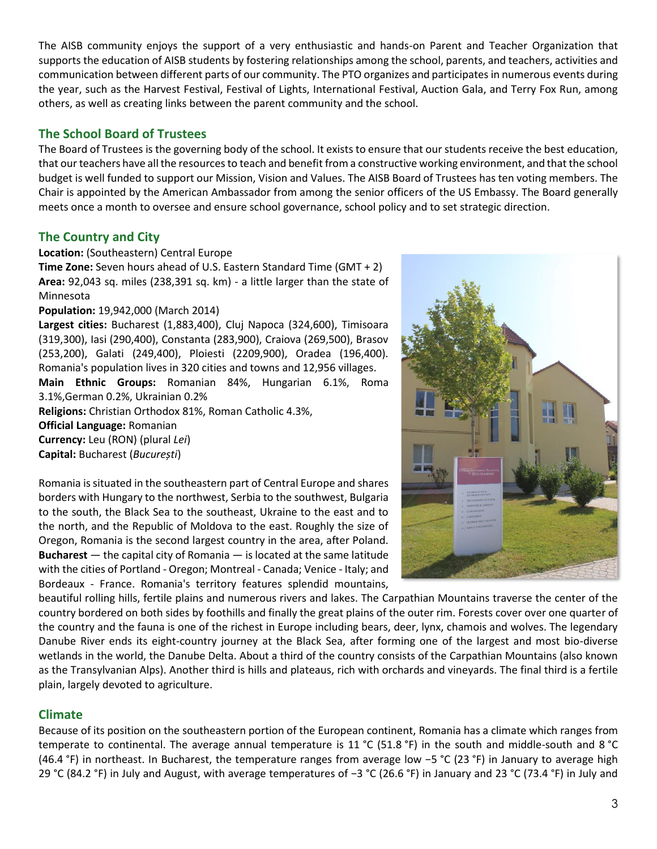The AISB community enjoys the support of a very enthusiastic and hands-on Parent and Teacher Organization that supports the education of AISB students by fostering relationships among the school, parents, and teachers, activities and communication between different parts of our community. The PTO organizes and participates in numerous events during the year, such as the Harvest Festival, Festival of Lights, International Festival, Auction Gala, and Terry Fox Run, among others, as well as creating links between the parent community and the school.

## **The School Board of Trustees**

The Board of Trustees is the governing body of the school. It exists to ensure that our students receive the best education, that our teachers have all the resources to teach and benefit from a constructive working environment, and that the school budget is well funded to support our Mission, Vision and Values. The AISB Board of Trustees has ten voting members. The Chair is appointed by the American Ambassador from among the senior officers of the US Embassy. The Board generally meets once a month to oversee and ensure school governance, school policy and to set strategic direction.

# **The Country and City**

#### **Location:** (Southeastern) Central Europe

**Time Zone:** Seven hours ahead of U.S. Eastern Standard Time (GMT + 2) **Area:** 92,043 sq. miles (238,391 sq. km) - a little larger than the state of Minnesota

#### **Population:** 19,942,000 (March 2014)

**Largest cities:** Bucharest (1,883,400), Cluj Napoca (324,600), Timisoara (319,300), Iasi (290,400), Constanta (283,900), Craiova (269,500), Brasov (253,200), Galati (249,400), Ploiesti (2209,900), Oradea (196,400). Romania's population lives in 320 cities and towns and 12,956 villages. **Main Ethnic Groups:** Romanian 84%, Hungarian 6.1%, Roma 3.1%,German 0.2%, Ukrainian 0.2% **Religions:** Christian Orthodox 81%, Roman Catholic 4.3%, **Official Language:** Romanian **Currency:** Leu (RON) (plural *Lei*)

**Capital:** Bucharest (*București*)

Romania is situated in the southeastern part of Central Europe and shares borders with Hungary to the northwest, Serbia to the southwest, Bulgaria to the south, the Black Sea to the southeast, Ukraine to the east and to the north, and the Republic of Moldova to the east. Roughly the size of Oregon, Romania is the second largest country in the area, after Poland. **Bucharest** — the capital city of Romania — is located at the same latitude with the cities of Portland - Oregon; Montreal - Canada; Venice - Italy; and Bordeaux - France. Romania's territory features splendid mountains,



beautiful rolling hills, fertile plains and numerous rivers and lakes. The Carpathian Mountains traverse the center of the country bordered on both sides by foothills and finally the great plains of the outer rim. Forests cover over one quarter of the country and the fauna is one of the richest in Europe including bears, deer, lynx, chamois and wolves. The legendary Danube River ends its eight-country journey at the Black Sea, after forming one of the largest and most bio-diverse wetlands in the world, the Danube Delta. About a third of the country consists of the Carpathian Mountains (also known as the Transylvanian Alps). Another third is hills and plateaus, rich with orchards and vineyards. The final third is a fertile plain, largely devoted to agriculture.

## **Climate**

Because of its position on the southeastern portion of the European continent, [Romania](http://en.wikipedia.org/wiki/Romania) has a climate which ranges from temperate to continental. The average annual temperature is 11 °C (51.8 °F) in the south and middle-south and 8 °C (46.4 °F) in northeast. In [Bucharest,](http://en.wikipedia.org/wiki/Bucharest) the temperature ranges from average low −5 °C (23 °F) in January to average high 29 °C (84.2 °F) in July and August, with average temperatures of −3 °C (26.6 °F) in January and 23 °C (73.4 °F) in July and